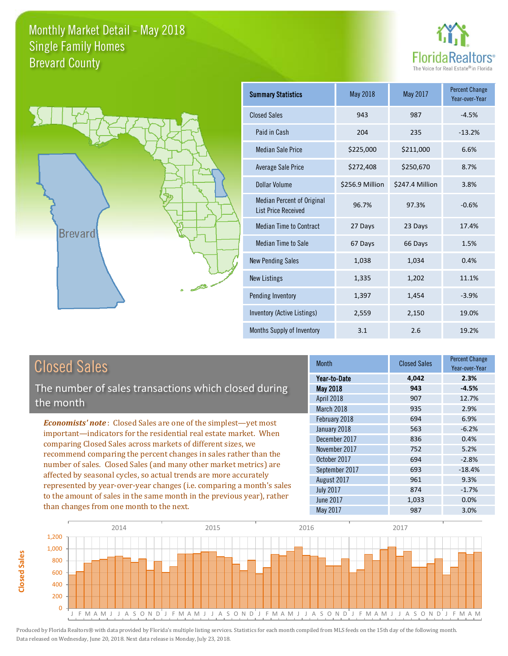



| <b>Summary Statistics</b>                                       | May 2018        | May 2017        | <b>Percent Change</b><br>Year-over-Year |
|-----------------------------------------------------------------|-----------------|-----------------|-----------------------------------------|
| <b>Closed Sales</b>                                             | 943             | 987             | $-4.5%$                                 |
| Paid in Cash                                                    | 204             | 235             | $-13.2%$                                |
| <b>Median Sale Price</b>                                        | \$225,000       | \$211,000       | 6.6%                                    |
| <b>Average Sale Price</b>                                       | \$272,408       | \$250,670       | 8.7%                                    |
| Dollar Volume                                                   | \$256.9 Million | \$247.4 Million | 3.8%                                    |
| <b>Median Percent of Original</b><br><b>List Price Received</b> | 96.7%           | 97.3%           | $-0.6%$                                 |
| <b>Median Time to Contract</b>                                  | 27 Days         | 23 Days         | 17.4%                                   |
| <b>Median Time to Sale</b>                                      | 67 Days         | 66 Days         | 1.5%                                    |
| <b>New Pending Sales</b>                                        | 1,038           | 1,034           | 0.4%                                    |
| <b>New Listings</b>                                             | 1,335           | 1,202           | 11.1%                                   |
| Pending Inventory                                               | 1,397           | 1,454           | $-3.9%$                                 |
| Inventory (Active Listings)                                     | 2,559           | 2,150           | 19.0%                                   |
| Months Supply of Inventory                                      | 3.1             | 2.6             | 19.2%                                   |

### Closed Sales

**Closed Sales**

**Closed Sales** 

The number of sales transactions which closed during the month

*Economists' note* : Closed Sales are one of the simplest—yet most important—indicators for the residential real estate market. When comparing Closed Sales across markets of different sizes, we recommend comparing the percent changes in sales rather than the number of sales. Closed Sales (and many other market metrics) are affected by seasonal cycles, so actual trends are more accurately represented by year-over-year changes (i.e. comparing a month's sales to the amount of sales in the same month in the previous year), rather than changes from one month to the next.

| <b>Month</b>     | <b>Closed Sales</b> | <b>Percent Change</b><br>Year-over-Year |
|------------------|---------------------|-----------------------------------------|
| Year-to-Date     | 4,042               | 2.3%                                    |
| <b>May 2018</b>  | 943                 | $-4.5%$                                 |
| April 2018       | 907                 | 12.7%                                   |
| March 2018       | 935                 | 2.9%                                    |
| February 2018    | 694                 | 6.9%                                    |
| January 2018     | 563                 | $-6.2%$                                 |
| December 2017    | 836                 | 0.4%                                    |
| November 2017    | 752                 | 5.2%                                    |
| October 2017     | 694                 | $-2.8%$                                 |
| September 2017   | 693                 | $-18.4%$                                |
| August 2017      | 961                 | 9.3%                                    |
| <b>July 2017</b> | 874                 | $-1.7%$                                 |
| <b>June 2017</b> | 1,033               | 0.0%                                    |
| May 2017         | 987                 | 3.0%                                    |

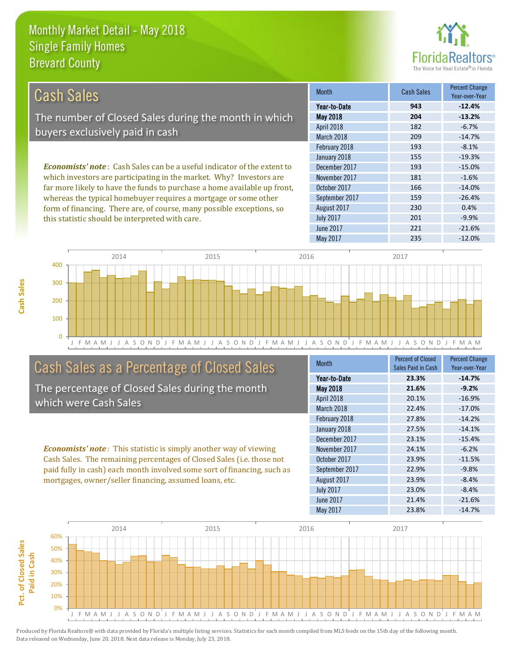this statistic should be interpreted with care.



| Cash Sales                                                                     | <b>Month</b>      | <b>Cash Sales</b> | <b>Percent Change</b><br>Year-over-Year |
|--------------------------------------------------------------------------------|-------------------|-------------------|-----------------------------------------|
|                                                                                | Year-to-Date      | 943               | $-12.4%$                                |
| The number of Closed Sales during the month in which                           | <b>May 2018</b>   | 204               | $-13.2%$                                |
| buyers exclusively paid in cash                                                | <b>April 2018</b> | 182               | $-6.7%$                                 |
|                                                                                | March 2018        | 209               | $-14.7%$                                |
|                                                                                | February 2018     | 193               | $-8.1%$                                 |
|                                                                                | January 2018      | 155               | $-19.3%$                                |
| <b>Economists' note:</b> Cash Sales can be a useful indicator of the extent to | December 2017     | 193               | $-15.0%$                                |
| which investors are participating in the market. Why? Investors are            | November 2017     | 181               | $-1.6%$                                 |
| far more likely to have the funds to purchase a home available up front,       | October 2017      | 166               | $-14.0%$                                |
| whereas the typical homebuyer requires a mortgage or some other                | September 2017    | 159               | $-26.4%$                                |
| form of financing. There are, of course, many possible exceptions, so          | August 2017       | 230               | 0.4%                                    |
| this statistic should be interpreted with care.                                | <b>July 2017</b>  | 201               | $-9.9%$                                 |



### Cash Sales as a Percentage of Closed Sales

The percentage of Closed Sales during the month which were Cash Sales

*Economists' note* : This statistic is simply another way of viewing Cash Sales. The remaining percentages of Closed Sales (i.e. those not paid fully in cash) each month involved some sort of financing, such as mortgages, owner/seller financing, assumed loans, etc.

| <b>Month</b>     | <b>Percent of Closed</b> | <b>Percent Change</b> |
|------------------|--------------------------|-----------------------|
|                  | Sales Paid in Cash       | Year-over-Year        |
| Year-to-Date     | 23.3%                    | $-14.7%$              |
| May 2018         | 21.6%                    | $-9.2%$               |
| April 2018       | 20.1%                    | $-16.9%$              |
| March 2018       | 22.4%                    | $-17.0%$              |
| February 2018    | 27.8%                    | $-14.2%$              |
| January 2018     | 27.5%                    | $-14.1%$              |
| December 2017    | 23.1%                    | $-15.4%$              |
| November 2017    | 24.1%                    | $-6.2%$               |
| October 2017     | 23.9%                    | $-11.5%$              |
| September 2017   | 22.9%                    | $-9.8%$               |
| August 2017      | 23.9%                    | $-8.4%$               |
| <b>July 2017</b> | 23.0%                    | $-8.4%$               |
| <b>June 2017</b> | 21.4%                    | $-21.6%$              |
| May 2017         | 23.8%                    | $-14.7%$              |

June 2017 221 -21.6%

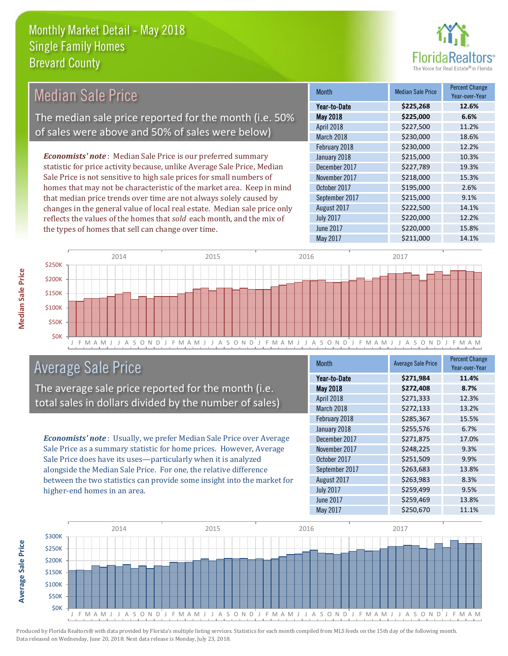the types of homes that sell can change over time.



| Median Sale Price                                                         | <b>Month</b>      | <b>Median Sale Price</b> | <b>Percent Change</b><br>Year-over-Year |
|---------------------------------------------------------------------------|-------------------|--------------------------|-----------------------------------------|
|                                                                           | Year-to-Date      | \$225,268                | 12.6%                                   |
| The median sale price reported for the month (i.e. 50%                    | <b>May 2018</b>   | \$225,000                | 6.6%                                    |
|                                                                           | <b>April 2018</b> | \$227,500                | 11.2%                                   |
| of sales were above and 50% of sales were below)                          | March 2018        | \$230,000                | 18.6%                                   |
|                                                                           | February 2018     | \$230,000                | 12.2%                                   |
| <b>Economists' note:</b> Median Sale Price is our preferred summary       | January 2018      | \$215,000                | 10.3%                                   |
| statistic for price activity because, unlike Average Sale Price, Median   | December 2017     | \$227,789                | 19.3%                                   |
| Sale Price is not sensitive to high sale prices for small numbers of      | November 2017     | \$218,000                | 15.3%                                   |
| homes that may not be characteristic of the market area. Keep in mind     | October 2017      | \$195,000                | 2.6%                                    |
| that median price trends over time are not always solely caused by        | September 2017    | \$215,000                | 9.1%                                    |
| changes in the general value of local real estate. Median sale price only | August 2017       | \$222,500                | 14.1%                                   |
| reflects the values of the homes that sold each month, and the mix of     | <b>July 2017</b>  | \$220,000                | 12.2%                                   |



### Average Sale Price

The average sale price reported for the month (i.e. total sales in dollars divided by the number of sales)

*Economists' note* : Usually, we prefer Median Sale Price over Average Sale Price as a summary statistic for home prices. However, Average Sale Price does have its uses—particularly when it is analyzed alongside the Median Sale Price. For one, the relative difference between the two statistics can provide some insight into the market for higher-end homes in an area.

| <b>Month</b>     | <b>Average Sale Price</b> | <b>Percent Change</b><br>Year-over-Year |
|------------------|---------------------------|-----------------------------------------|
| Year-to-Date     | \$271,984                 | 11.4%                                   |
| <b>May 2018</b>  | \$272,408                 | 8.7%                                    |
| April 2018       | \$271,333                 | 12.3%                                   |
| March 2018       | \$272,133                 | 13.2%                                   |
| February 2018    | \$285,367                 | 15.5%                                   |
| January 2018     | \$255,576                 | 6.7%                                    |
| December 2017    | \$271,875                 | 17.0%                                   |
| November 2017    | \$248,225                 | 9.3%                                    |
| October 2017     | \$251,509                 | 9.9%                                    |
| September 2017   | \$263,683                 | 13.8%                                   |
| August 2017      | \$263,983                 | 8.3%                                    |
| <b>July 2017</b> | \$259,499                 | 9.5%                                    |
| <b>June 2017</b> | \$259,469                 | 13.8%                                   |
| May 2017         | \$250,670                 | 11.1%                                   |

May 2017 **\$211,000** 14.1%

June 2017 **\$220,000** 15.8%



Produced by Florida Realtors® with data provided by Florida's multiple listing services. Statistics for each month compiled from MLS feeds on the 15th day of the following month. Data released on Wednesday, June 20, 2018. Next data release is Monday, July 23, 2018.

**Average Sale Price**

**Average Sale Price**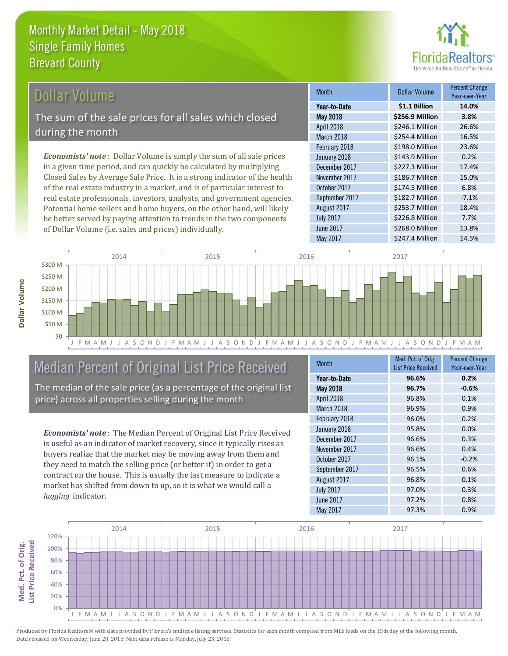

### Dollar Volume

The sum of the sale prices for all sales which closed during the month

*Economists' note* : Dollar Volume is simply the sum of all sale prices in a given time period, and can quickly be calculated by multiplying Closed Sales by Average Sale Price. It is a strong indicator of the health of the real estate industry in a market, and is of particular interest to real estate professionals, investors, analysts, and government agencies. Potential home sellers and home buyers, on the other hand, will likely be better served by paying attention to trends in the two components of Dollar Volume (i.e. sales and prices) individually.

| <b>Month</b>     | <b>Dollar Volume</b> | Percent Change<br>Year-over-Year |
|------------------|----------------------|----------------------------------|
| Year-to-Date     | \$1.1 Billion        | 14.0%                            |
| <b>May 2018</b>  | \$256.9 Million      | 3.8%                             |
| April 2018       | \$246.1 Million      | 26.6%                            |
| March 2018       | \$254.4 Million      | 16.5%                            |
| February 2018    | \$198.0 Million      | 23.6%                            |
| January 2018     | \$143.9 Million      | 0.2%                             |
| December 2017    | \$227.3 Million      | 17.4%                            |
| November 2017    | \$186.7 Million      | 15.0%                            |
| October 2017     | \$174.5 Million      | 6.8%                             |
| September 2017   | \$182.7 Million      | $-7.1%$                          |
| August 2017      | \$253.7 Million      | 18.4%                            |
| <b>July 2017</b> | \$226.8 Million      | 7.7%                             |
| <b>June 2017</b> | \$268.0 Million      | 13.8%                            |
| <b>May 2017</b>  | \$247.4 Million      | 14.5%                            |



### Median Percent of Original List Price Received

The median of the sale price (as a percentage of the original list price) across all properties selling during the month

*Economists' note* : The Median Percent of Original List Price Received is useful as an indicator of market recovery, since it typically rises as buyers realize that the market may be moving away from them and they need to match the selling price (or better it) in order to get a contract on the house. This is usually the last measure to indicate a market has shifted from down to up, so it is what we would call a *lagging* indicator.

| <b>Month</b>     | Med. Pct. of Orig.         | <b>Percent Change</b> |
|------------------|----------------------------|-----------------------|
|                  | <b>List Price Received</b> | Year-over-Year        |
| Year-to-Date     | 96.6%                      | 0.2%                  |
| May 2018         | 96.7%                      | $-0.6%$               |
| April 2018       | 96.8%                      | 0.1%                  |
| March 2018       | 96.9%                      | 0.9%                  |
| February 2018    | 96.0%                      | 0.2%                  |
| January 2018     | 95.8%                      | 0.0%                  |
| December 2017    | 96.6%                      | 0.3%                  |
| November 2017    | 96.6%                      | 0.4%                  |
| October 2017     | 96.1%                      | $-0.2%$               |
| September 2017   | 96.5%                      | 0.6%                  |
| August 2017      | 96.8%                      | 0.1%                  |
| <b>July 2017</b> | 97.0%                      | 0.3%                  |
| June 2017        | 97.2%                      | 0.8%                  |
| May 2017         | 97.3%                      | 0.9%                  |

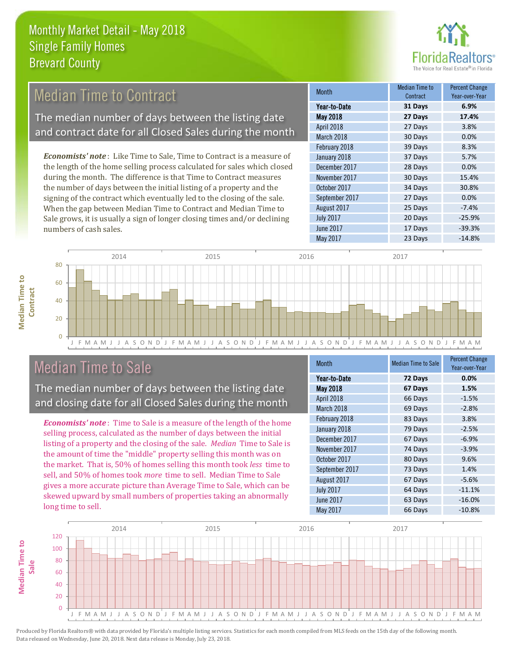

#### *Economists' note* : Like Time to Sale, Time to Contract is a measure of the length of the home selling process calculated for sales which closed during the month. The difference is that Time to Contract measures the number of days between the initial listing of a property and the signing of the contract which eventually led to the closing of the sale. When the gap between Median Time to Contract and Median Time to 25 Days -7.4% August 2017 January 2018 **37 Days** 5.7% December 2017 28 Days 0.0% November 2017 30 Days 15.4% October 2017 34 Days 30.8% September 2017 27 Days 0.0% Month Month Median Time to **Contract** Percent Change Year-over-Year May 2018 **27 Days 17.4%** Year-to-Date **31 Days 6.9%** April 2018 27 Days 3.8% March 2018 30 Days 0.0% February 2018 39 Days 8.3% Median Time to Contract The median number of days between the listing date and contract date for all Closed Sales during the month



### Median Time to Sale

numbers of cash sales.

**Median Time to** 

**Median Time to** 

The median number of days between the listing date and closing date for all Closed Sales during the month

Sale grows, it is usually a sign of longer closing times and/or declining

*Economists' note* : Time to Sale is a measure of the length of the home selling process, calculated as the number of days between the initial listing of a property and the closing of the sale. *Median* Time to Sale is the amount of time the "middle" property selling this month was on the market. That is, 50% of homes selling this month took *less* time to sell, and 50% of homes took *more* time to sell. Median Time to Sale gives a more accurate picture than Average Time to Sale, which can be skewed upward by small numbers of properties taking an abnormally long time to sell.

| <b>Month</b>     | <b>Median Time to Sale</b> | <b>Percent Change</b><br>Year-over-Year |
|------------------|----------------------------|-----------------------------------------|
| Year-to-Date     | 72 Days                    | 0.0%                                    |
| May 2018         | 67 Days                    | 1.5%                                    |
| April 2018       | 66 Days                    | $-1.5%$                                 |
| March 2018       | 69 Days                    | $-2.8%$                                 |
| February 2018    | 83 Days                    | 3.8%                                    |
| January 2018     | 79 Days                    | $-2.5%$                                 |
| December 2017    | 67 Days                    | $-6.9%$                                 |
| November 2017    | 74 Days                    | $-3.9%$                                 |
| October 2017     | 80 Days                    | 9.6%                                    |
| September 2017   | 73 Days                    | 1.4%                                    |
| August 2017      | 67 Days                    | $-5.6%$                                 |
| <b>July 2017</b> | 64 Days                    | $-11.1%$                                |
| <b>June 2017</b> | 63 Days                    | $-16.0%$                                |
| May 2017         | 66 Days                    | $-10.8%$                                |

June 2017 **17 Days** -39.3%

July 2017 20 Days -25.9%

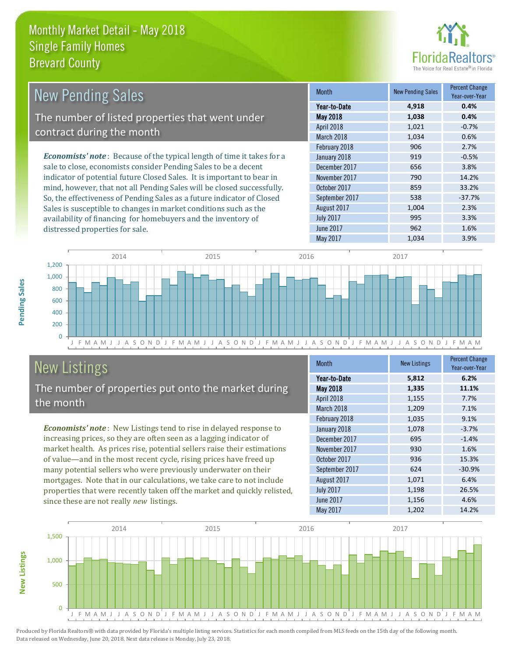distressed properties for sale.



| <b>New Pending Sales</b>                                                       | <b>Month</b>      | <b>New Pending Sales</b> | <b>Percent Change</b><br>Year-over-Year |
|--------------------------------------------------------------------------------|-------------------|--------------------------|-----------------------------------------|
|                                                                                | Year-to-Date      | 4,918                    | 0.4%                                    |
| The number of listed properties that went under                                | <b>May 2018</b>   | 1,038                    | 0.4%                                    |
| contract during the month                                                      | <b>April 2018</b> | 1,021                    | $-0.7%$                                 |
|                                                                                | March 2018        | 1,034                    | 0.6%                                    |
|                                                                                | February 2018     | 906                      | 2.7%                                    |
| <b>Economists' note</b> : Because of the typical length of time it takes for a | January 2018      | 919                      | $-0.5%$                                 |
| sale to close, economists consider Pending Sales to be a decent                | December 2017     | 656                      | 3.8%                                    |
| indicator of potential future Closed Sales. It is important to bear in         | November 2017     | 790                      | 14.2%                                   |
| mind, however, that not all Pending Sales will be closed successfully.         | October 2017      | 859                      | 33.2%                                   |
| So, the effectiveness of Pending Sales as a future indicator of Closed         | September 2017    | 538                      | $-37.7%$                                |
| Sales is susceptible to changes in market conditions such as the               | August 2017       | 1.004                    | 2.3%                                    |



# New Listings

The number of properties put onto the market during the month

availability of financing for homebuyers and the inventory of

*Economists' note* : New Listings tend to rise in delayed response to increasing prices, so they are often seen as a lagging indicator of market health. As prices rise, potential sellers raise their estimations of value—and in the most recent cycle, rising prices have freed up many potential sellers who were previously underwater on their mortgages. Note that in our calculations, we take care to not include properties that were recently taken off the market and quickly relisted, since these are not really *new* listings.

| <b>Month</b>     | <b>New Listings</b> | <b>Percent Change</b><br>Year-over-Year |
|------------------|---------------------|-----------------------------------------|
| Year-to-Date     | 5,812               | 6.2%                                    |
| May 2018         | 1,335               | 11.1%                                   |
| April 2018       | 1,155               | 7.7%                                    |
| March 2018       | 1,209               | 7.1%                                    |
| February 2018    | 1,035               | 9.1%                                    |
| January 2018     | 1,078               | $-3.7%$                                 |
| December 2017    | 695                 | $-1.4%$                                 |
| November 2017    | 930                 | 1.6%                                    |
| October 2017     | 936                 | 15.3%                                   |
| September 2017   | 624                 | $-30.9%$                                |
| August 2017      | 1,071               | 6.4%                                    |
| <b>July 2017</b> | 1,198               | 26.5%                                   |
| June 2017        | 1,156               | 4.6%                                    |
| May 2017         | 1,202               | 14.2%                                   |

May 2017 1,034 3.9%

July 2017 **995** 3.3% June 2017 **962** 962 1.6%



Produced by Florida Realtors® with data provided by Florida's multiple listing services. Statistics for each month compiled from MLS feeds on the 15th day of the following month. Data released on Wednesday, June 20, 2018. Next data release is Monday, July 23, 2018.

**New Listings**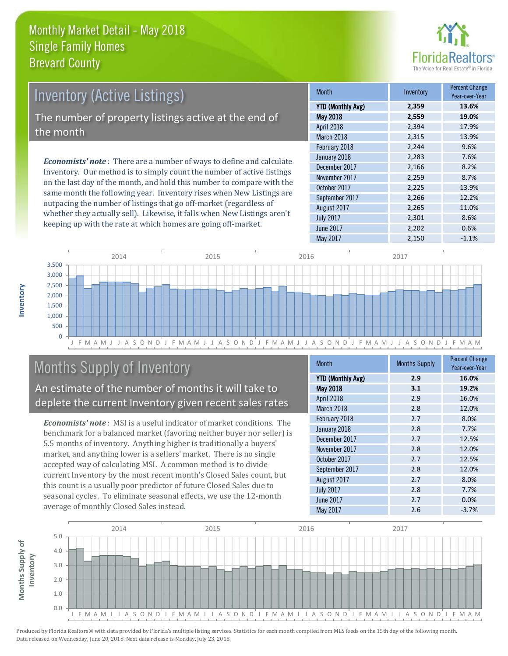

| <b>Inventory (Active Listings)</b>                                |                   |                                                                              |  |
|-------------------------------------------------------------------|-------------------|------------------------------------------------------------------------------|--|
|                                                                   | <b>YTD (Montl</b> |                                                                              |  |
| The number of property listings active at the end of<br>the month |                   |                                                                              |  |
|                                                                   |                   | <b>Economists' note</b> : There are a number of ways to define and calculate |  |

Inventory. Our method is to simply count the number of active listings on the last day of the month, and hold this number to compare with the same month the following year. Inventory rises when New Listings are outpacing the number of listings that go off-market (regardless of whether they actually sell). Likewise, it falls when New Listings aren't keeping up with the rate at which homes are going off-market.

| <b>Month</b>             | Inventory | <b>Percent Change</b><br>Year-over-Year |
|--------------------------|-----------|-----------------------------------------|
| <b>YTD (Monthly Avg)</b> | 2,359     | 13.6%                                   |
| <b>May 2018</b>          | 2,559     | 19.0%                                   |
| April 2018               | 2,394     | 17.9%                                   |
| March 2018               | 2,315     | 13.9%                                   |
| February 2018            | 2,244     | 9.6%                                    |
| January 2018             | 2,283     | 7.6%                                    |
| December 2017            | 2,166     | 8.2%                                    |
| November 2017            | 2,259     | 8.7%                                    |
| October 2017             | 2,225     | 13.9%                                   |
| September 2017           | 2,266     | 12.2%                                   |
| August 2017              | 2,265     | 11.0%                                   |
| <b>July 2017</b>         | 2,301     | 8.6%                                    |
| <b>June 2017</b>         | 2,202     | 0.6%                                    |
| May 2017                 | 2,150     | $-1.1%$                                 |



## Months Supply of Inventory

An estimate of the number of months it will take to deplete the current Inventory given recent sales rates

*Economists' note* : MSI is a useful indicator of market conditions. The benchmark for a balanced market (favoring neither buyer nor seller) is 5.5 months of inventory. Anything higher is traditionally a buyers' market, and anything lower is a sellers' market. There is no single accepted way of calculating MSI. A common method is to divide current Inventory by the most recent month's Closed Sales count, but this count is a usually poor predictor of future Closed Sales due to seasonal cycles. To eliminate seasonal effects, we use the 12-month average of monthly Closed Sales instead.

| <b>Month</b>             | <b>Months Supply</b> | <b>Percent Change</b><br>Year-over-Year |
|--------------------------|----------------------|-----------------------------------------|
| <b>YTD (Monthly Avg)</b> | 2.9                  | 16.0%                                   |
| May 2018                 | 3.1                  | 19.2%                                   |
| April 2018               | 2.9                  | 16.0%                                   |
| March 2018               | 2.8                  | 12.0%                                   |
| February 2018            | 2.7                  | 8.0%                                    |
| January 2018             | 2.8                  | 7.7%                                    |
| December 2017            | 2.7                  | 12.5%                                   |
| November 2017            | 2.8                  | 12.0%                                   |
| October 2017             | 2.7                  | 12.5%                                   |
| September 2017           | 2.8                  | 12.0%                                   |
| August 2017              | 2.7                  | 8.0%                                    |
| <b>July 2017</b>         | 2.8                  | 7.7%                                    |
| June 2017                | 2.7                  | 0.0%                                    |
| May 2017                 | 2.6                  | $-3.7%$                                 |

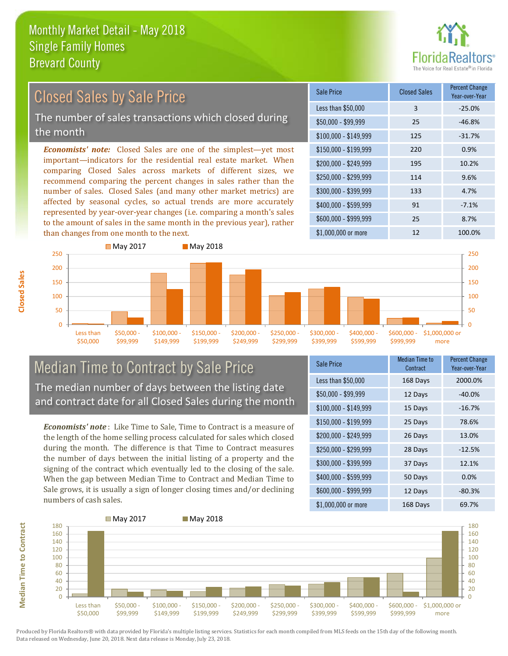

### Closed Sales by Sale Price

The number of sales transactions which closed during the month

*Economists' note:* Closed Sales are one of the simplest—yet most important—indicators for the residential real estate market. When comparing Closed Sales across markets of different sizes, we recommend comparing the percent changes in sales rather than the number of sales. Closed Sales (and many other market metrics) are affected by seasonal cycles, so actual trends are more accurately represented by year-over-year changes (i.e. comparing a month's sales to the amount of sales in the same month in the previous year), rather than changes from one month to the next.





#### Median Time to Contract by Sale Price The median number of days between the listing date and contract date for all Closed Sales during the month

*Economists' note* : Like Time to Sale, Time to Contract is a measure of the length of the home selling process calculated for sales which closed during the month. The difference is that Time to Contract measures the number of days between the initial listing of a property and the signing of the contract which eventually led to the closing of the sale. When the gap between Median Time to Contract and Median Time to Sale grows, it is usually a sign of longer closing times and/or declining numbers of cash sales.

| <b>Sale Price</b>     | Median Time to<br>Contract | <b>Percent Change</b><br>Year-over-Year |
|-----------------------|----------------------------|-----------------------------------------|
| Less than \$50,000    | 168 Days                   | 2000.0%                                 |
| \$50,000 - \$99,999   | 12 Days                    | $-40.0%$                                |
| $$100,000 - $149,999$ | 15 Days                    | $-16.7%$                                |
| $$150,000 - $199,999$ | 25 Days                    | 78.6%                                   |
| \$200,000 - \$249,999 | 26 Days                    | 13.0%                                   |
| \$250,000 - \$299,999 | 28 Days                    | $-12.5%$                                |
| \$300,000 - \$399,999 | 37 Days                    | 12.1%                                   |
| \$400,000 - \$599,999 | 50 Days                    | 0.0%                                    |
| \$600,000 - \$999,999 | 12 Days                    | $-80.3%$                                |
| \$1,000,000 or more   | 168 Days                   | 69.7%                                   |



**Closed Sales**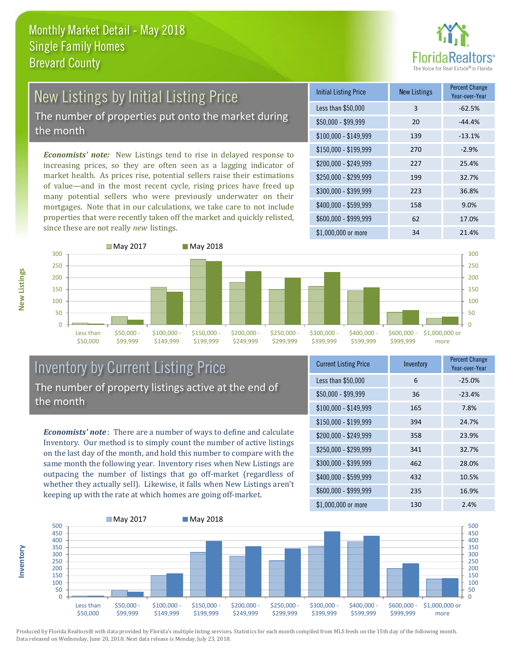

# New Listings by Initial Listing Price

The number of properties put onto the market during the month

*Economists' note:* New Listings tend to rise in delayed response to increasing prices, so they are often seen as a lagging indicator of market health. As prices rise, potential sellers raise their estimations of value—and in the most recent cycle, rising prices have freed up many potential sellers who were previously underwater on their mortgages. Note that in our calculations, we take care to not include properties that were recently taken off the market and quickly relisted, since these are not really *new* listings.

| <b>Initial Listing Price</b> | <b>New Listings</b> | <b>Percent Change</b><br>Year-over-Year |
|------------------------------|---------------------|-----------------------------------------|
| Less than \$50,000           | 3                   | $-62.5%$                                |
| \$50,000 - \$99,999          | 20                  | $-44.4%$                                |
| $$100,000 - $149,999$        | 139                 | $-13.1%$                                |
| $$150,000 - $199,999$        | 270                 | $-2.9%$                                 |
| \$200,000 - \$249,999        | 227                 | 25.4%                                   |
| \$250,000 - \$299,999        | 199                 | 32.7%                                   |
| \$300,000 - \$399,999        | 223                 | 36.8%                                   |
| \$400,000 - \$599,999        | 158                 | 9.0%                                    |
| \$600,000 - \$999,999        | 62                  | 17.0%                                   |
| \$1,000,000 or more          | 34                  | 21.4%                                   |



#### Inventory by Current Listing Price The number of property listings active at the end of the month

*Economists' note* : There are a number of ways to define and calculate Inventory. Our method is to simply count the number of active listings on the last day of the month, and hold this number to compare with the same month the following year. Inventory rises when New Listings are outpacing the number of listings that go off-market (regardless of whether they actually sell). Likewise, it falls when New Listings aren't keeping up with the rate at which homes are going off-market.

| <b>Current Listing Price</b> | Inventory | <b>Percent Change</b><br>Year-over-Year |
|------------------------------|-----------|-----------------------------------------|
| Less than \$50,000           | 6         | $-25.0%$                                |
| $$50,000 - $99,999$          | 36        | $-23.4%$                                |
| $$100,000 - $149,999$        | 165       | 7.8%                                    |
| $$150,000 - $199,999$        | 394       | 24.7%                                   |
| \$200,000 - \$249,999        | 358       | 23.9%                                   |
| \$250,000 - \$299,999        | 341       | 32.7%                                   |
| \$300,000 - \$399,999        | 462       | 28.0%                                   |
| \$400,000 - \$599,999        | 432       | 10.5%                                   |
| \$600,000 - \$999,999        | 235       | 16.9%                                   |
| \$1,000,000 or more          | 130       | 2.4%                                    |



Produced by Florida Realtors® with data provided by Florida's multiple listing services. Statistics for each month compiled from MLS feeds on the 15th day of the following month. Data released on Wednesday, June 20, 2018. Next data release is Monday, July 23, 2018.

**Inventory**